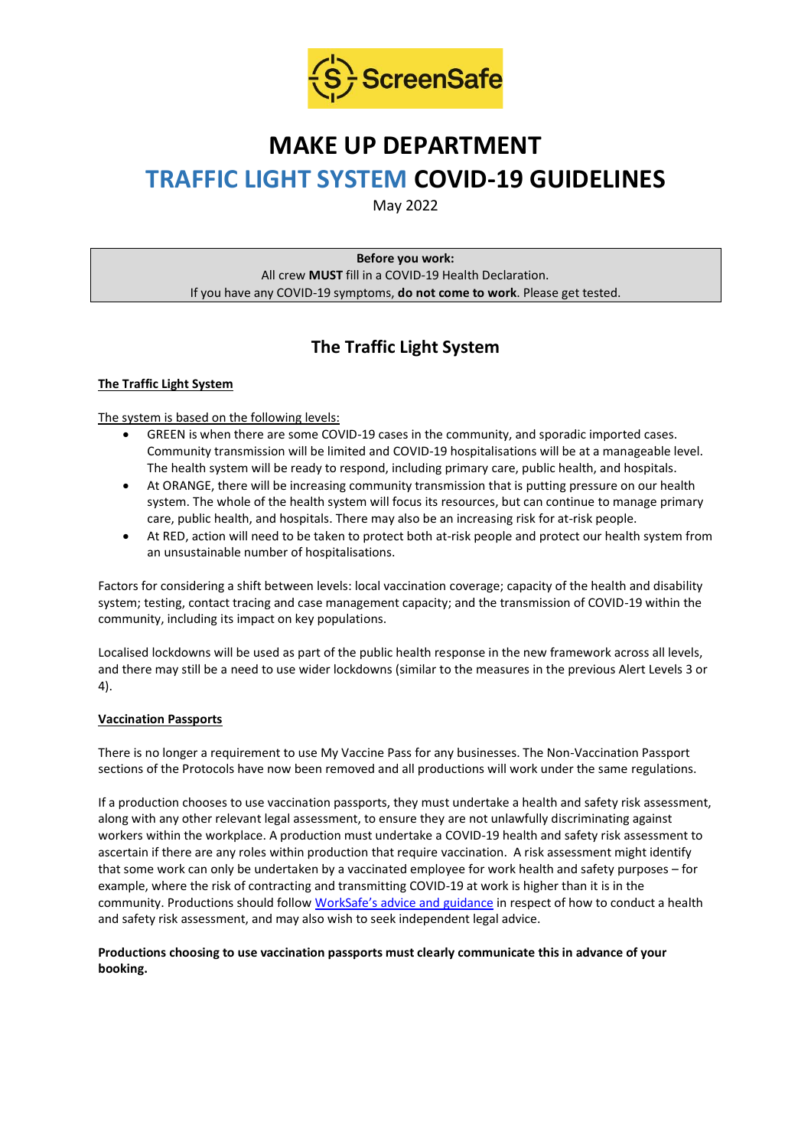

# **MAKE UP DEPARTMENT TRAFFIC LIGHT SYSTEM COVID-19 GUIDELINES**

May 2022

**Before you work:** All crew **MUST** fill in a COVID-19 Health Declaration. If you have any COVID-19 symptoms, **do not come to work**. Please get tested.

## **The Traffic Light System**

#### **The Traffic Light System**

The system is based on the following levels:

- GREEN is when there are some COVID-19 cases in the community, and sporadic imported cases. Community transmission will be limited and COVID-19 hospitalisations will be at a manageable level. The health system will be ready to respond, including primary care, public health, and hospitals.
- At ORANGE, there will be increasing community transmission that is putting pressure on our health system. The whole of the health system will focus its resources, but can continue to manage primary care, public health, and hospitals. There may also be an increasing risk for at-risk people.
- At RED, action will need to be taken to protect both at-risk people and protect our health system from an unsustainable number of hospitalisations.

Factors for considering a shift between levels: local vaccination coverage; capacity of the health and disability system; testing, contact tracing and case management capacity; and the transmission of COVID-19 within the community, including its impact on key populations.

Localised lockdowns will be used as part of the public health response in the new framework across all levels, and there may still be a need to use wider lockdowns (similar to the measures in the previous Alert Levels 3 or 4).

#### **Vaccination Passports**

There is no longer a requirement to use My Vaccine Pass for any businesses. The Non-Vaccination Passport sections of the Protocols have now been removed and all productions will work under the same regulations.

If a production chooses to use vaccination passports, they must undertake a health and safety risk assessment, along with any other relevant legal assessment, to ensure they are not unlawfully discriminating against workers within the workplace. A production must undertake a COVID-19 health and safety risk assessment to ascertain if there are any roles within production that require vaccination. A risk assessment might identify that some work can only be undertaken by a vaccinated employee for work health and safety purposes – for example, where the risk of contracting and transmitting COVID-19 at work is higher than it is in the community. Productions should follow [WorkSafe's advice and guidance](https://www.worksafe.govt.nz/managing-health-and-safety/novel-coronavirus-covid/covid-19-controls-at-work/) in respect of how to conduct a health and safety risk assessment, and may also wish to seek independent legal advice.

#### **Productions choosing to use vaccination passports must clearly communicate this in advance of your booking.**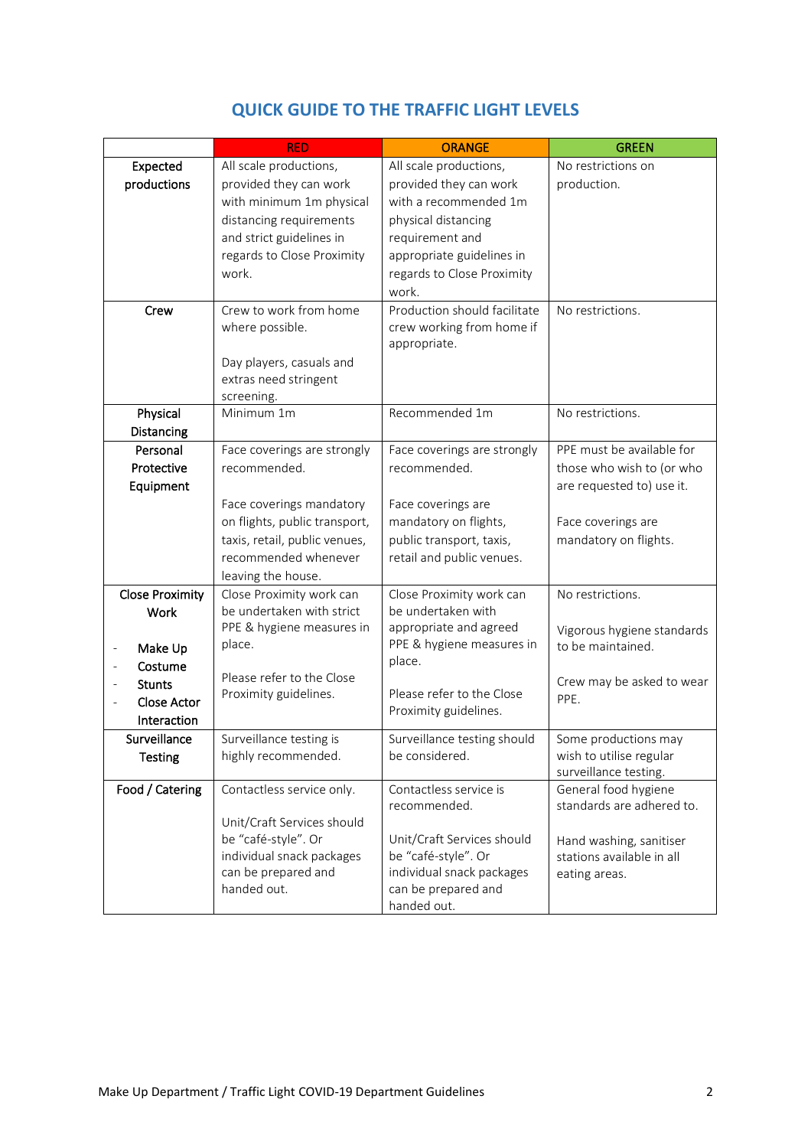|                                         | <b>RED</b>                    | <b>ORANGE</b>                | <b>GREEN</b>               |
|-----------------------------------------|-------------------------------|------------------------------|----------------------------|
| Expected                                | All scale productions,        | All scale productions,       | No restrictions on         |
| productions                             | provided they can work        | provided they can work       | production.                |
|                                         | with minimum 1m physical      | with a recommended 1m        |                            |
|                                         | distancing requirements       | physical distancing          |                            |
|                                         | and strict guidelines in      | requirement and              |                            |
|                                         | regards to Close Proximity    | appropriate guidelines in    |                            |
|                                         | work.                         | regards to Close Proximity   |                            |
|                                         |                               | work.                        |                            |
| Crew                                    | Crew to work from home        | Production should facilitate | No restrictions.           |
|                                         | where possible.               | crew working from home if    |                            |
|                                         |                               | appropriate.                 |                            |
|                                         | Day players, casuals and      |                              |                            |
|                                         | extras need stringent         |                              |                            |
|                                         | screening.                    |                              |                            |
| Physical                                | Minimum 1m                    | Recommended 1m               | No restrictions.           |
| Distancing                              |                               |                              |                            |
| Personal                                | Face coverings are strongly   | Face coverings are strongly  | PPE must be available for  |
| Protective                              | recommended.                  | recommended.                 | those who wish to (or who  |
| Equipment                               |                               |                              | are requested to) use it.  |
|                                         | Face coverings mandatory      | Face coverings are           |                            |
|                                         | on flights, public transport, | mandatory on flights,        | Face coverings are         |
|                                         | taxis, retail, public venues, | public transport, taxis,     | mandatory on flights.      |
|                                         | recommended whenever          | retail and public venues.    |                            |
|                                         | leaving the house.            |                              |                            |
| <b>Close Proximity</b>                  | Close Proximity work can      | Close Proximity work can     | No restrictions.           |
| <b>Work</b>                             | be undertaken with strict     | be undertaken with           |                            |
|                                         | PPE & hygiene measures in     | appropriate and agreed       | Vigorous hygiene standards |
| Make Up<br>$\qquad \qquad \blacksquare$ | place.                        | PPE & hygiene measures in    | to be maintained.          |
| Costume                                 |                               | place.                       |                            |
| <b>Stunts</b>                           | Please refer to the Close     |                              | Crew may be asked to wear  |
| <b>Close Actor</b>                      | Proximity guidelines.         | Please refer to the Close    | PPE.                       |
| Interaction                             |                               | Proximity guidelines.        |                            |
| Surveillance                            | Surveillance testing is       | Surveillance testing should  | Some productions may       |
| <b>Testing</b>                          | highly recommended.           | be considered.               | wish to utilise regular    |
|                                         |                               |                              | surveillance testing.      |
| Food / Catering                         | Contactless service only.     | Contactless service is       | General food hygiene       |
|                                         |                               | recommended.                 | standards are adhered to.  |
|                                         | Unit/Craft Services should    |                              |                            |
|                                         | be "café-style". Or           | Unit/Craft Services should   | Hand washing, sanitiser    |
|                                         | individual snack packages     | be "café-style". Or          | stations available in all  |
|                                         | can be prepared and           | individual snack packages    | eating areas.              |
|                                         | handed out.                   | can be prepared and          |                            |
|                                         |                               | handed out.                  |                            |

### **QUICK GUIDE TO THE TRAFFIC LIGHT LEVELS**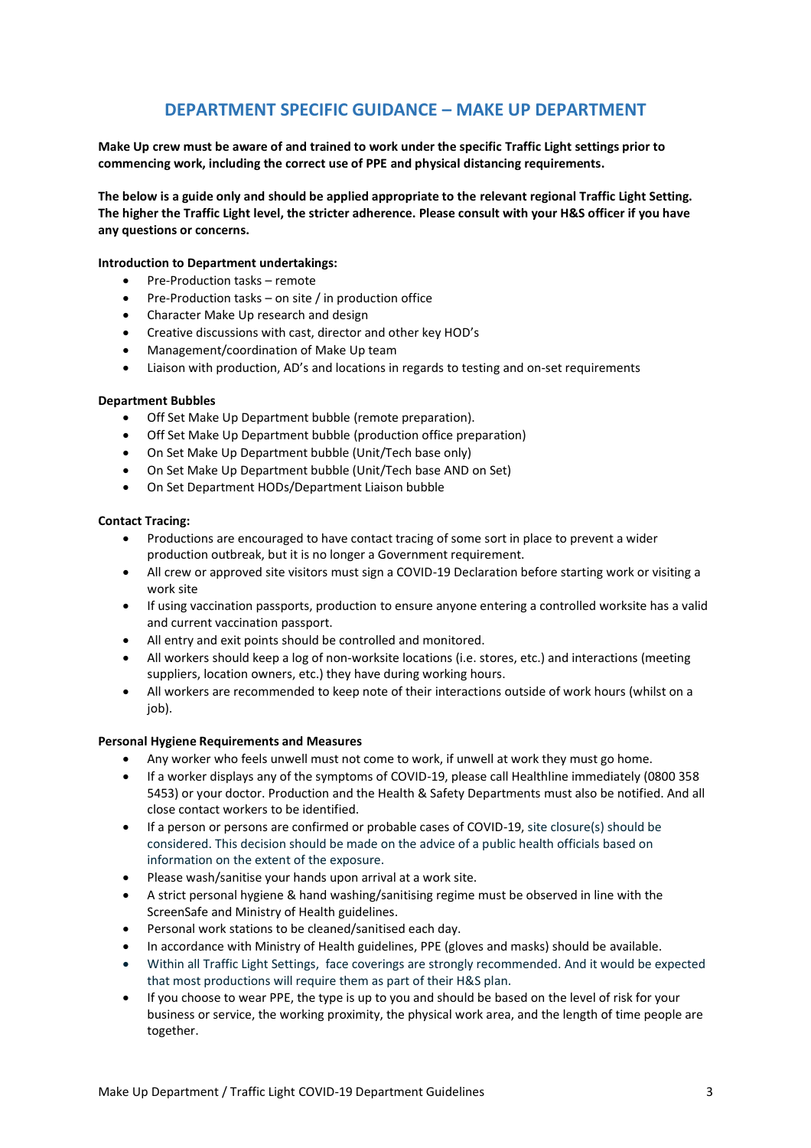### **DEPARTMENT SPECIFIC GUIDANCE – MAKE UP DEPARTMENT**

**Make Up crew must be aware of and trained to work under the specific Traffic Light settings prior to commencing work, including the correct use of PPE and physical distancing requirements.**

**The below is a guide only and should be applied appropriate to the relevant regional Traffic Light Setting. The higher the Traffic Light level, the stricter adherence. Please consult with your H&S officer if you have any questions or concerns.**

#### **Introduction to Department undertakings:**

- Pre-Production tasks remote
- Pre-Production tasks on site / in production office
- Character Make Up research and design
- Creative discussions with cast, director and other key HOD's
- Management/coordination of Make Up team
- Liaison with production, AD's and locations in regards to testing and on-set requirements

#### **Department Bubbles**

- Off Set Make Up Department bubble (remote preparation).
- Off Set Make Up Department bubble (production office preparation)
- On Set Make Up Department bubble (Unit/Tech base only)
- On Set Make Up Department bubble (Unit/Tech base AND on Set)
- On Set Department HODs/Department Liaison bubble

#### **Contact Tracing:**

- Productions are encouraged to have contact tracing of some sort in place to prevent a wider production outbreak, but it is no longer a Government requirement.
- All crew or approved site visitors must sign a COVID-19 Declaration before starting work or visiting a work site
- If using vaccination passports, production to ensure anyone entering a controlled worksite has a valid and current vaccination passport.
- All entry and exit points should be controlled and monitored.
- All workers should keep a log of non-worksite locations (i.e. stores, etc.) and interactions (meeting suppliers, location owners, etc.) they have during working hours.
- All workers are recommended to keep note of their interactions outside of work hours (whilst on a iob).

#### **Personal Hygiene Requirements and Measures**

- Any worker who feels unwell must not come to work, if unwell at work they must go home.
- If a worker displays any of the symptoms of COVID-19, please call Healthline immediately (0800 358 5453) or your doctor. Production and the Health & Safety Departments must also be notified. And all close contact workers to be identified.
- If a person or persons are confirmed or probable cases of COVID-19, site closure(s) should be considered. This decision should be made on the advice of a public health officials based on information on the extent of the exposure.
- Please wash/sanitise your hands upon arrival at a work site.
- A strict personal hygiene & hand washing/sanitising regime must be observed in line with the ScreenSafe and Ministry of Health guidelines.
- Personal work stations to be cleaned/sanitised each day.
- In accordance with Ministry of Health guidelines, PPE (gloves and masks) should be available.
- Within all Traffic Light Settings, face coverings are strongly recommended. And it would be expected that most productions will require them as part of their H&S plan.
- If you choose to wear PPE, the type is up to you and should be based on the level of risk for your business or service, the working proximity, the physical work area, and the length of time people are together.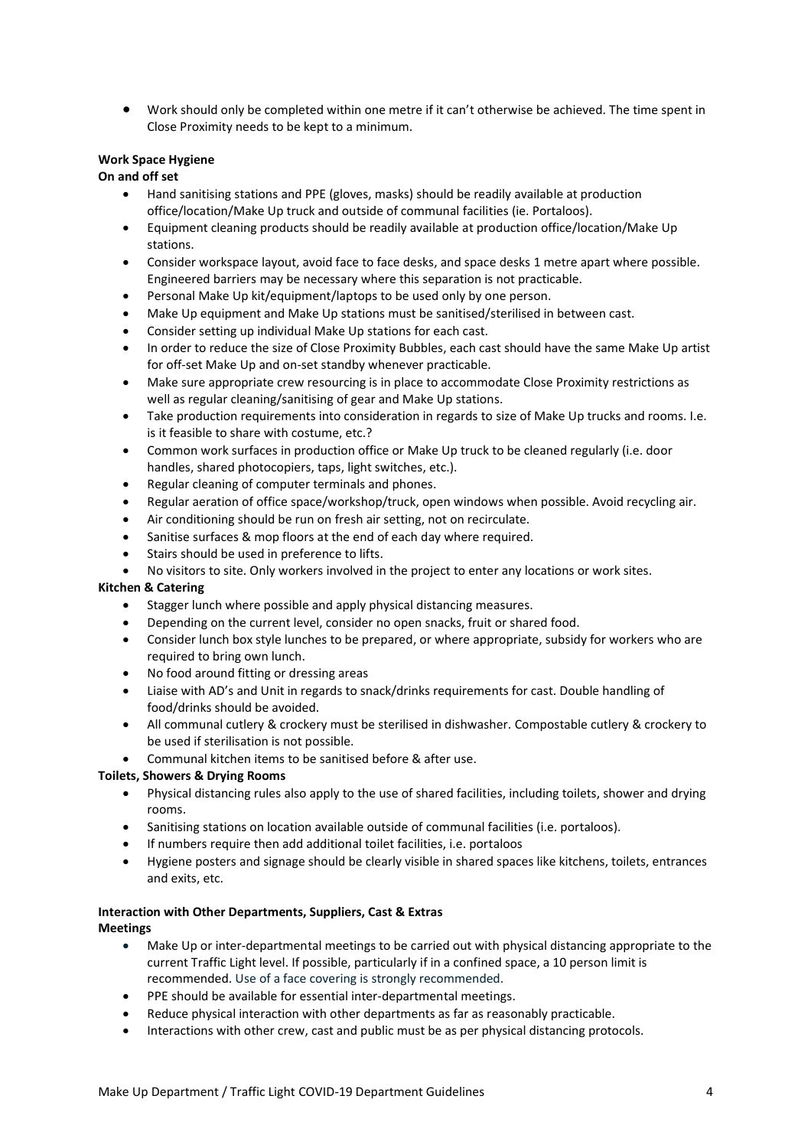• Work should only be completed within one metre if it can't otherwise be achieved. The time spent in Close Proximity needs to be kept to a minimum.

#### **Work Space Hygiene**

#### **On and off set**

- Hand sanitising stations and PPE (gloves, masks) should be readily available at production office/location/Make Up truck and outside of communal facilities (ie. Portaloos).
- Equipment cleaning products should be readily available at production office/location/Make Up stations.
- Consider workspace layout, avoid face to face desks, and space desks 1 metre apart where possible. Engineered barriers may be necessary where this separation is not practicable.
- Personal Make Up kit/equipment/laptops to be used only by one person.
- Make Up equipment and Make Up stations must be sanitised/sterilised in between cast.
- Consider setting up individual Make Up stations for each cast.
- In order to reduce the size of Close Proximity Bubbles, each cast should have the same Make Up artist for off-set Make Up and on-set standby whenever practicable.
- Make sure appropriate crew resourcing is in place to accommodate Close Proximity restrictions as well as regular cleaning/sanitising of gear and Make Up stations.
- Take production requirements into consideration in regards to size of Make Up trucks and rooms. I.e. is it feasible to share with costume, etc.?
- Common work surfaces in production office or Make Up truck to be cleaned regularly (i.e. door handles, shared photocopiers, taps, light switches, etc.).
- Regular cleaning of computer terminals and phones.
- Regular aeration of office space/workshop/truck, open windows when possible. Avoid recycling air.
- Air conditioning should be run on fresh air setting, not on recirculate.
- Sanitise surfaces & mop floors at the end of each day where required.
- Stairs should be used in preference to lifts.
- No visitors to site. Only workers involved in the project to enter any locations or work sites.

#### **Kitchen & Catering**

- Stagger lunch where possible and apply physical distancing measures.
- Depending on the current level, consider no open snacks, fruit or shared food.
- Consider lunch box style lunches to be prepared, or where appropriate, subsidy for workers who are required to bring own lunch.
- No food around fitting or dressing areas
- Liaise with AD's and Unit in regards to snack/drinks requirements for cast. Double handling of food/drinks should be avoided.
- All communal cutlery & crockery must be sterilised in dishwasher. Compostable cutlery & crockery to be used if sterilisation is not possible.
- Communal kitchen items to be sanitised before & after use.

#### **Toilets, Showers & Drying Rooms**

- Physical distancing rules also apply to the use of shared facilities, including toilets, shower and drying rooms.
- Sanitising stations on location available outside of communal facilities (i.e. portaloos).
- If numbers require then add additional toilet facilities, i.e. portaloos
- Hygiene posters and signage should be clearly visible in shared spaces like kitchens, toilets, entrances and exits, etc.

#### **Interaction with Other Departments, Suppliers, Cast & Extras Meetings**

- Make Up or inter-departmental meetings to be carried out with physical distancing appropriate to the current Traffic Light level. If possible, particularly if in a confined space, a 10 person limit is recommended. Use of a face covering is strongly recommended.
- PPE should be available for essential inter-departmental meetings.
- Reduce physical interaction with other departments as far as reasonably practicable.
- Interactions with other crew, cast and public must be as per physical distancing protocols.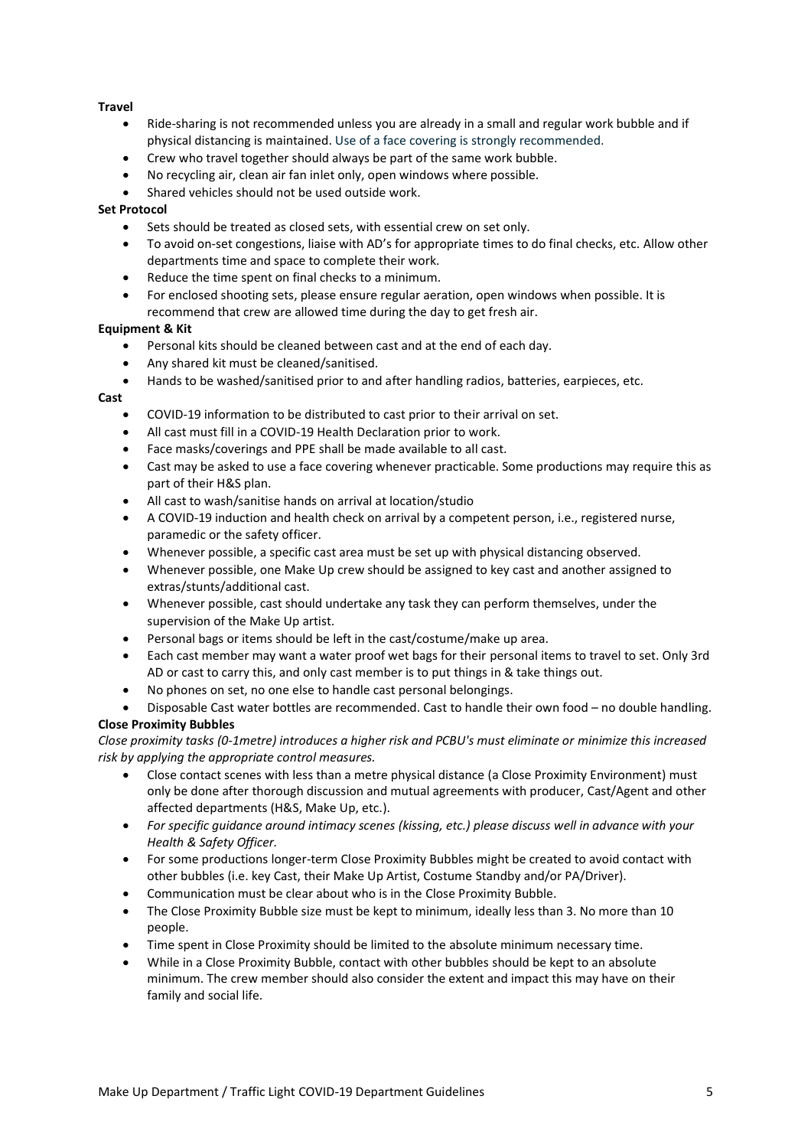#### **Travel**

- Ride-sharing is not recommended unless you are already in a small and regular work bubble and if physical distancing is maintained. Use of a face covering is strongly recommended.
- Crew who travel together should always be part of the same work bubble.
- No recycling air, clean air fan inlet only, open windows where possible.
- Shared vehicles should not be used outside work.

#### **Set Protocol**

- Sets should be treated as closed sets, with essential crew on set only.
- To avoid on-set congestions, liaise with AD's for appropriate times to do final checks, etc. Allow other departments time and space to complete their work.
- Reduce the time spent on final checks to a minimum.
- For enclosed shooting sets, please ensure regular aeration, open windows when possible. It is recommend that crew are allowed time during the day to get fresh air.

#### **Equipment & Kit**

- Personal kits should be cleaned between cast and at the end of each day.
- Any shared kit must be cleaned/sanitised.
- Hands to be washed/sanitised prior to and after handling radios, batteries, earpieces, etc.

#### **Cast**

- COVID-19 information to be distributed to cast prior to their arrival on set.
- All cast must fill in a COVID-19 Health Declaration prior to work.
- Face masks/coverings and PPE shall be made available to all cast.
- Cast may be asked to use a face covering whenever practicable. Some productions may require this as part of their H&S plan.
- All cast to wash/sanitise hands on arrival at location/studio
- A COVID-19 induction and health check on arrival by a competent person, i.e., registered nurse, paramedic or the safety officer.
- Whenever possible, a specific cast area must be set up with physical distancing observed.
- Whenever possible, one Make Up crew should be assigned to key cast and another assigned to extras/stunts/additional cast.
- Whenever possible, cast should undertake any task they can perform themselves, under the supervision of the Make Up artist.
- Personal bags or items should be left in the cast/costume/make up area.
- Each cast member may want a water proof wet bags for their personal items to travel to set. Only 3rd AD or cast to carry this, and only cast member is to put things in & take things out.
- No phones on set, no one else to handle cast personal belongings.
- Disposable Cast water bottles are recommended. Cast to handle their own food no double handling. **Close Proximity Bubbles**

#### *Close proximity tasks (0-1metre) introduces a higher risk and PCBU's must eliminate or minimize this increased risk by applying the appropriate control measures.*

- Close contact scenes with less than a metre physical distance (a Close Proximity Environment) must only be done after thorough discussion and mutual agreements with producer, Cast/Agent and other affected departments (H&S, Make Up, etc.).
- *For specific guidance around intimacy scenes (kissing, etc.) please discuss well in advance with your Health & Safety Officer.*
- For some productions longer-term Close Proximity Bubbles might be created to avoid contact with other bubbles (i.e. key Cast, their Make Up Artist, Costume Standby and/or PA/Driver).
- Communication must be clear about who is in the Close Proximity Bubble.
- The Close Proximity Bubble size must be kept to minimum, ideally less than 3. No more than 10 people.
- Time spent in Close Proximity should be limited to the absolute minimum necessary time.
- While in a Close Proximity Bubble, contact with other bubbles should be kept to an absolute minimum. The crew member should also consider the extent and impact this may have on their family and social life.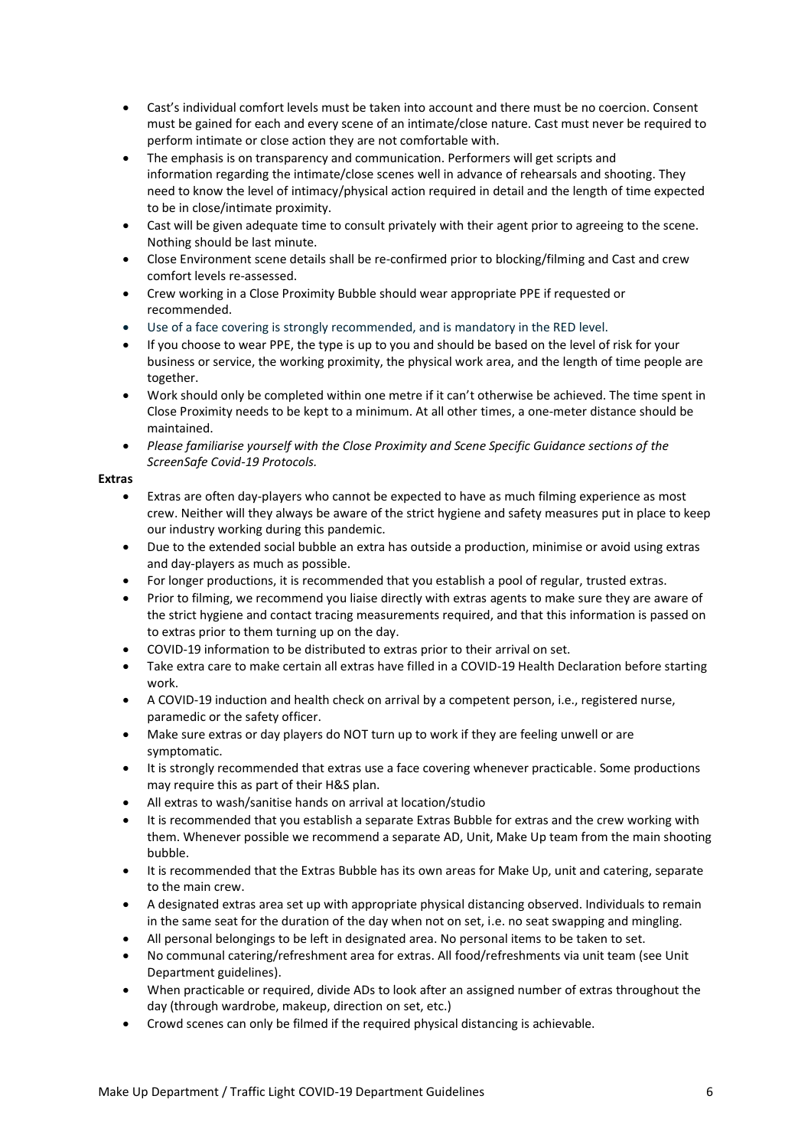- Cast's individual comfort levels must be taken into account and there must be no coercion. Consent must be gained for each and every scene of an intimate/close nature. Cast must never be required to perform intimate or close action they are not comfortable with.
- The emphasis is on transparency and communication. Performers will get scripts and information regarding the intimate/close scenes well in advance of rehearsals and shooting. They need to know the level of intimacy/physical action required in detail and the length of time expected to be in close/intimate proximity.
- Cast will be given adequate time to consult privately with their agent prior to agreeing to the scene. Nothing should be last minute.
- Close Environment scene details shall be re-confirmed prior to blocking/filming and Cast and crew comfort levels re-assessed.
- Crew working in a Close Proximity Bubble should wear appropriate PPE if requested or recommended.
- Use of a face covering is strongly recommended, and is mandatory in the RED level.
- If you choose to wear PPE, the type is up to you and should be based on the level of risk for your business or service, the working proximity, the physical work area, and the length of time people are together.
- Work should only be completed within one metre if it can't otherwise be achieved. The time spent in Close Proximity needs to be kept to a minimum. At all other times, a one-meter distance should be maintained.
- *Please familiarise yourself with the Close Proximity and Scene Specific Guidance sections of the ScreenSafe Covid-19 Protocols.*

#### **Extras**

- Extras are often day-players who cannot be expected to have as much filming experience as most crew. Neither will they always be aware of the strict hygiene and safety measures put in place to keep our industry working during this pandemic.
- Due to the extended social bubble an extra has outside a production, minimise or avoid using extras and day-players as much as possible.
- For longer productions, it is recommended that you establish a pool of regular, trusted extras.
- Prior to filming, we recommend you liaise directly with extras agents to make sure they are aware of the strict hygiene and contact tracing measurements required, and that this information is passed on to extras prior to them turning up on the day.
- COVID-19 information to be distributed to extras prior to their arrival on set.
- Take extra care to make certain all extras have filled in a COVID-19 Health Declaration before starting work.
- A COVID-19 induction and health check on arrival by a competent person, i.e., registered nurse, paramedic or the safety officer.
- Make sure extras or day players do NOT turn up to work if they are feeling unwell or are symptomatic.
- It is strongly recommended that extras use a face covering whenever practicable. Some productions may require this as part of their H&S plan.
- All extras to wash/sanitise hands on arrival at location/studio
- It is recommended that you establish a separate Extras Bubble for extras and the crew working with them. Whenever possible we recommend a separate AD, Unit, Make Up team from the main shooting bubble.
- It is recommended that the Extras Bubble has its own areas for Make Up, unit and catering, separate to the main crew.
- A designated extras area set up with appropriate physical distancing observed. Individuals to remain in the same seat for the duration of the day when not on set, i.e. no seat swapping and mingling.
- All personal belongings to be left in designated area. No personal items to be taken to set.
- No communal catering/refreshment area for extras. All food/refreshments via unit team (see Unit Department guidelines).
- When practicable or required, divide ADs to look after an assigned number of extras throughout the day (through wardrobe, makeup, direction on set, etc.)
- Crowd scenes can only be filmed if the required physical distancing is achievable.